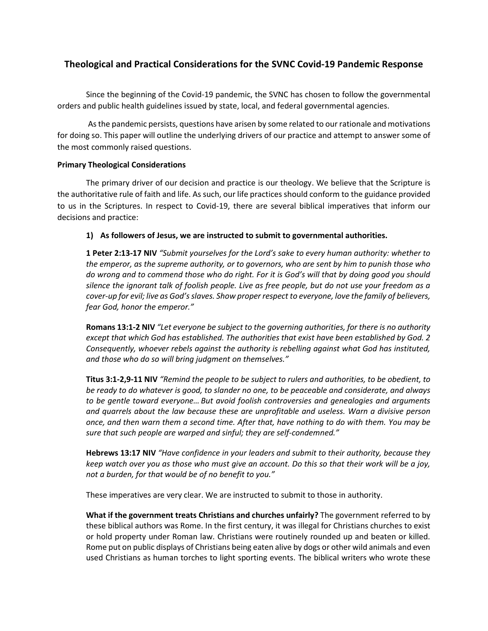# **Theological and Practical Considerations for the SVNC Covid-19 Pandemic Response**

Since the beginning of the Covid-19 pandemic, the SVNC has chosen to follow the governmental orders and public health guidelines issued by state, local, and federal governmental agencies.

As the pandemic persists, questions have arisen by some related to our rationale and motivations for doing so. This paper will outline the underlying drivers of our practice and attempt to answer some of the most commonly raised questions.

#### **Primary Theological Considerations**

The primary driver of our decision and practice is our theology. We believe that the Scripture is the authoritative rule of faith and life. As such, our life practices should conform to the guidance provided to us in the Scriptures. In respect to Covid-19, there are several biblical imperatives that inform our decisions and practice:

## **1) As followers of Jesus, we are instructed to submit to governmental authorities.**

**1 Peter 2:13-17 NIV** *"Submit yourselves for the Lord's sake to every human authority: whether to the emperor, as the supreme authority, or to governors, who are sent by him to punish those who do wrong and to commend those who do right. For it is God's will that by doing good you should silence the ignorant talk of foolish people. Live as free people, but do not use your freedom as a cover-up for evil; live as God's slaves. Show proper respect to everyone, love the family of believers, fear God, honor the emperor."*

**Romans 13:1-2 NIV** *"Let everyone be subject to the governing authorities, for there is no authority except that which God has established. The authorities that exist have been established by God. 2 Consequently, whoever rebels against the authority is rebelling against what God has instituted, and those who do so will bring judgment on themselves."*

**Titus 3:1-2,9-11 NIV** *"Remind the people to be subject to rulers and authorities, to be obedient, to be ready to do whatever is good, to slander no one, to be peaceable and considerate, and always to be gentle toward everyone…But avoid foolish controversies and genealogies and arguments and quarrels about the law because these are unprofitable and useless. Warn a divisive person once, and then warn them a second time. After that, have nothing to do with them. You may be sure that such people are warped and sinful; they are self-condemned."*

**Hebrews 13:17 NIV** *"Have confidence in your leaders and submit to their authority, because they keep watch over you as those who must give an account. Do this so that their work will be a joy, not a burden, for that would be of no benefit to you."*

These imperatives are very clear. We are instructed to submit to those in authority.

**What if the government treats Christians and churches unfairly?** The government referred to by these biblical authors was Rome. In the first century, it was illegal for Christians churches to exist or hold property under Roman law. Christians were routinely rounded up and beaten or killed. Rome put on public displays of Christians being eaten alive by dogs or other wild animals and even used Christians as human torches to light sporting events. The biblical writers who wrote these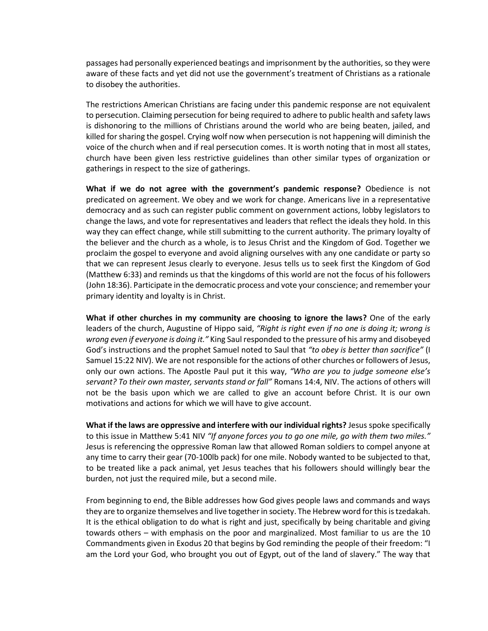passages had personally experienced beatings and imprisonment by the authorities, so they were aware of these facts and yet did not use the government's treatment of Christians as a rationale to disobey the authorities.

The restrictions American Christians are facing under this pandemic response are not equivalent to persecution. Claiming persecution for being required to adhere to public health and safety laws is dishonoring to the millions of Christians around the world who are being beaten, jailed, and killed for sharing the gospel. Crying wolf now when persecution is not happening will diminish the voice of the church when and if real persecution comes. It is worth noting that in most all states, church have been given less restrictive guidelines than other similar types of organization or gatherings in respect to the size of gatherings.

**What if we do not agree with the government's pandemic response?** Obedience is not predicated on agreement. We obey and we work for change. Americans live in a representative democracy and as such can register public comment on government actions, lobby legislators to change the laws, and vote for representatives and leaders that reflect the ideals they hold. In this way they can effect change, while still submitting to the current authority. The primary loyalty of the believer and the church as a whole, is to Jesus Christ and the Kingdom of God. Together we proclaim the gospel to everyone and avoid aligning ourselves with any one candidate or party so that we can represent Jesus clearly to everyone. Jesus tells us to seek first the Kingdom of God (Matthew 6:33) and reminds us that the kingdoms of this world are not the focus of his followers (John 18:36). Participate in the democratic process and vote your conscience; and remember your primary identity and loyalty is in Christ.

**What if other churches in my community are choosing to ignore the laws?** One of the early leaders of the church, Augustine of Hippo said, *"Right is right even if no one is doing it; wrong is wrong even if everyone is doing it."* King Saul responded to the pressure of his army and disobeyed God's instructions and the prophet Samuel noted to Saul that *"to obey is better than sacrifice"* (I Samuel 15:22 NIV). We are not responsible for the actions of other churches or followers of Jesus, only our own actions. The Apostle Paul put it this way, *"Who are you to judge someone else's servant? To their own master, servants stand or fall"* Romans 14:4, NIV. The actions of others will not be the basis upon which we are called to give an account before Christ. It is our own motivations and actions for which we will have to give account.

**What if the laws are oppressive and interfere with our individual rights?** Jesus spoke specifically to this issue in Matthew 5:41 NIV *"If anyone forces you to go one mile, go with them two miles."*  Jesus is referencing the oppressive Roman law that allowed Roman soldiers to compel anyone at any time to carry their gear (70-100lb pack) for one mile. Nobody wanted to be subjected to that, to be treated like a pack animal, yet Jesus teaches that his followers should willingly bear the burden, not just the required mile, but a second mile.

From beginning to end, the Bible addresses how God gives people laws and commands and ways they are to organize themselves and live together in society. The Hebrew word for this is tzedakah. It is the ethical obligation to do what is right and just, specifically by being charitable and giving towards others – with emphasis on the poor and marginalized. Most familiar to us are the 10 Commandments given in Exodus 20 that begins by God reminding the people of their freedom: "I am the Lord your God, who brought you out of Egypt, out of the land of slavery." The way that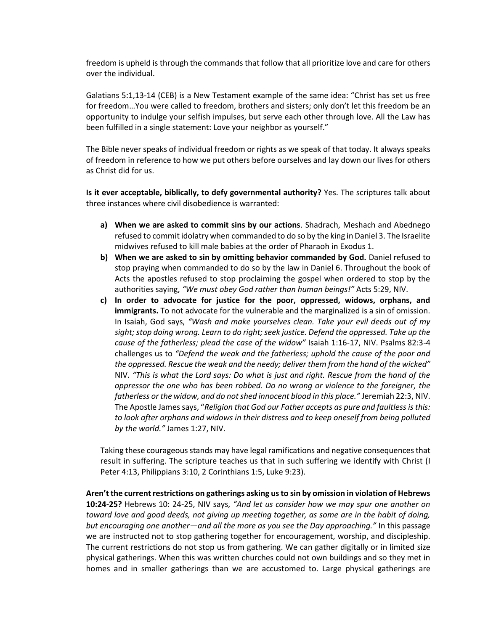freedom is upheld is through the commands that follow that all prioritize love and care for others over the individual.

Galatians 5:1,13-14 (CEB) is a New Testament example of the same idea: "Christ has set us free for freedom…You were called to freedom, brothers and sisters; only don't let this freedom be an opportunity to indulge your selfish impulses, but serve each other through love. All the Law has been fulfilled in a single statement: Love your neighbor as yourself."

The Bible never speaks of individual freedom or rights as we speak of that today. It always speaks of freedom in reference to how we put others before ourselves and lay down our lives for others as Christ did for us.

**Is it ever acceptable, biblically, to defy governmental authority?** Yes. The scriptures talk about three instances where civil disobedience is warranted:

- **a) When we are asked to commit sins by our actions**. Shadrach, Meshach and Abednego refused to commit idolatry when commanded to do so by the king in Daniel 3. The Israelite midwives refused to kill male babies at the order of Pharaoh in Exodus 1.
- **b) When we are asked to sin by omitting behavior commanded by God.** Daniel refused to stop praying when commanded to do so by the law in Daniel 6. Throughout the book of Acts the apostles refused to stop proclaiming the gospel when ordered to stop by the authorities saying, *"We must obey God rather than human beings!"* Acts 5:29, NIV.
- **c) In order to advocate for justice for the poor, oppressed, widows, orphans, and immigrants.** To not advocate for the vulnerable and the marginalized is a sin of omission. In Isaiah, God says, *"Wash and make yourselves clean. Take your evil deeds out of my sight; stop doing wrong. Learn to do right; seek justice. Defend the oppressed. Take up the cause of the fatherless; plead the case of the widow"* Isaiah 1:16-17, NIV. Psalms 82:3-4 challenges us to *"Defend the weak and the fatherless; uphold the cause of the poor and the oppressed. Rescue the weak and the needy; deliver them from the hand of the wicked"*  NIV. *"This is what the Lord says: Do what is just and right. Rescue from the hand of the oppressor the one who has been robbed. Do no wrong or violence to the foreigner, the fatherless or the widow, and do not shed innocent blood in this place."* Jeremiah 22:3, NIV. The Apostle James says, "*Religion that God our Father accepts as pure and faultless is this: to look after orphans and widows in their distress and to keep oneself from being polluted by the world."* James 1:27, NIV.

Taking these courageous stands may have legal ramifications and negative consequences that result in suffering. The scripture teaches us that in such suffering we identify with Christ (I Peter 4:13, Philippians 3:10, 2 Corinthians 1:5, Luke 9:23).

**Aren't the current restrictions on gatherings asking us to sin by omission in violation of Hebrews 10:24-25?** Hebrews 10: 24-25, NIV says, *"And let us consider how we may spur one another on toward love and good deeds, not giving up meeting together, as some are in the habit of doing, but encouraging one another—and all the more as you see the Day approaching."* In this passage we are instructed not to stop gathering together for encouragement, worship, and discipleship. The current restrictions do not stop us from gathering. We can gather digitally or in limited size physical gatherings. When this was written churches could not own buildings and so they met in homes and in smaller gatherings than we are accustomed to. Large physical gatherings are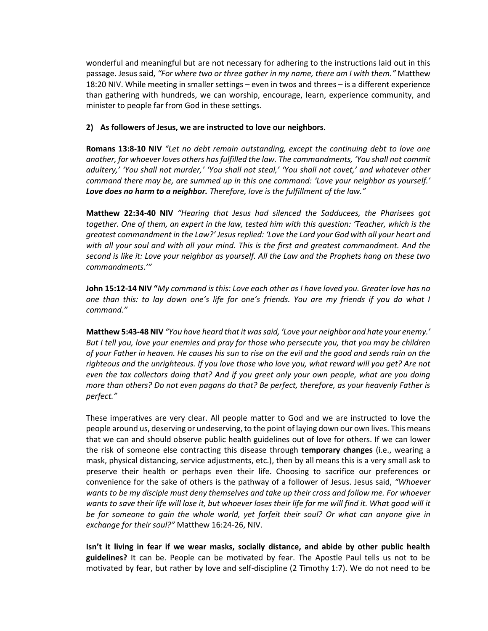wonderful and meaningful but are not necessary for adhering to the instructions laid out in this passage. Jesus said, *"For where two or three gather in my name, there am I with them."* Matthew 18:20 NIV. While meeting in smaller settings – even in twos and threes – is a different experience than gathering with hundreds, we can worship, encourage, learn, experience community, and minister to people far from God in these settings.

### **2) As followers of Jesus, we are instructed to love our neighbors.**

**Romans 13:8-10 NIV** *"Let no debt remain outstanding, except the continuing debt to love one another, for whoever loves others has fulfilled the law. The commandments, 'You shall not commit adultery,' 'You shall not murder,' 'You shall not steal,' 'You shall not covet,' and whatever other command there may be, are summed up in this one command: 'Love your neighbor as yourself.' Love does no harm to a neighbor. Therefore, love is the fulfillment of the law."*

**Matthew 22:34-40 NIV** *"Hearing that Jesus had silenced the Sadducees, the Pharisees got together. One of them, an expert in the law, tested him with this question: 'Teacher, which is the greatest commandment in the Law?' Jesus replied: 'Love the Lord your God with all your heart and with all your soul and with all your mind. This is the first and greatest commandment. And the second is like it: Love your neighbor as yourself. All the Law and the Prophets hang on these two commandments.'"*

**John 15:12-14 NIV "***My command is this: Love each other as I have loved you. Greater love has no one than this: to lay down one's life for one's friends. You are my friends if you do what I command."*

**Matthew 5:43-48 NIV** *"You have heard that it was said, 'Love your neighbor and hate your enemy.' But I tell you, love your enemies and pray for those who persecute you, that you may be children of your Father in heaven. He causes his sun to rise on the evil and the good and sends rain on the righteous and the unrighteous. If you love those who love you, what reward will you get? Are not even the tax collectors doing that? And if you greet only your own people, what are you doing more than others? Do not even pagans do that? Be perfect, therefore, as your heavenly Father is perfect."*

These imperatives are very clear. All people matter to God and we are instructed to love the people around us, deserving or undeserving, to the point of laying down our own lives. This means that we can and should observe public health guidelines out of love for others. If we can lower the risk of someone else contracting this disease through **temporary changes** (i.e., wearing a mask, physical distancing, service adjustments, etc.), then by all means this is a very small ask to preserve their health or perhaps even their life. Choosing to sacrifice our preferences or convenience for the sake of others is the pathway of a follower of Jesus. Jesus said, *"Whoever wants to be my disciple must deny themselves and take up their cross and follow me. For whoever wants to save their life will lose it, but whoever loses their life for me will find it. What good will it be for someone to gain the whole world, yet forfeit their soul? Or what can anyone give in exchange for their soul?"* Matthew 16:24-26, NIV.

**Isn't it living in fear if we wear masks, socially distance, and abide by other public health guidelines?** It can be. People can be motivated by fear. The Apostle Paul tells us not to be motivated by fear, but rather by love and self-discipline (2 Timothy 1:7). We do not need to be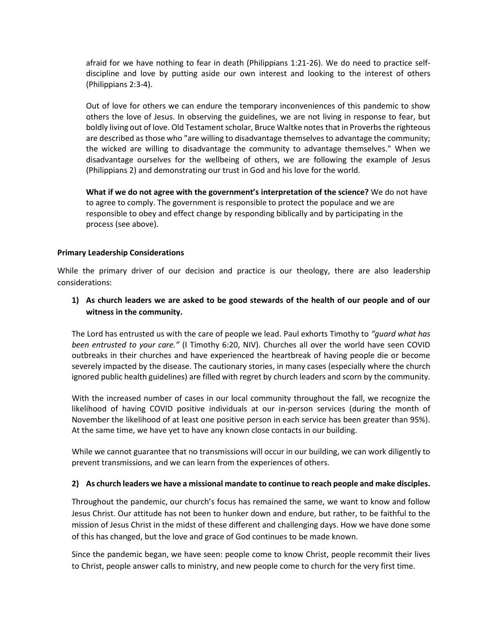afraid for we have nothing to fear in death (Philippians 1:21-26). We do need to practice selfdiscipline and love by putting aside our own interest and looking to the interest of others (Philippians 2:3-4).

Out of love for others we can endure the temporary inconveniences of this pandemic to show others the love of Jesus. In observing the guidelines, we are not living in response to fear, but boldly living out of love. Old Testament scholar, Bruce Waltke notes that in Proverbs the righteous are described as those who "are willing to disadvantage themselves to advantage the community; the wicked are willing to disadvantage the community to advantage themselves." When we disadvantage ourselves for the wellbeing of others, we are following the example of Jesus (Philippians 2) and demonstrating our trust in God and his love for the world.

**What if we do not agree with the government's interpretation of the science?** We do not have to agree to comply. The government is responsible to protect the populace and we are responsible to obey and effect change by responding biblically and by participating in the process (see above).

#### **Primary Leadership Considerations**

While the primary driver of our decision and practice is our theology, there are also leadership considerations:

**1) As church leaders we are asked to be good stewards of the health of our people and of our witness in the community.** 

The Lord has entrusted us with the care of people we lead. Paul exhorts Timothy to *"guard what has been entrusted to your care."* (I Timothy 6:20, NIV). Churches all over the world have seen COVID outbreaks in their churches and have experienced the heartbreak of having people die or become severely impacted by the disease. The cautionary stories, in many cases (especially where the church ignored public health guidelines) are filled with regret by church leaders and scorn by the community.

With the increased number of cases in our local community throughout the fall, we recognize the likelihood of having COVID positive individuals at our in-person services (during the month of November the likelihood of at least one positive person in each service has been greater than 95%). At the same time, we have yet to have any known close contacts in our building.

While we cannot guarantee that no transmissions will occur in our building, we can work diligently to prevent transmissions, and we can learn from the experiences of others.

# **2) As church leaders we have a missional mandate to continue to reach people and make disciples.**

Throughout the pandemic, our church's focus has remained the same, we want to know and follow Jesus Christ. Our attitude has not been to hunker down and endure, but rather, to be faithful to the mission of Jesus Christ in the midst of these different and challenging days. How we have done some of this has changed, but the love and grace of God continues to be made known.

Since the pandemic began, we have seen: people come to know Christ, people recommit their lives to Christ, people answer calls to ministry, and new people come to church for the very first time.